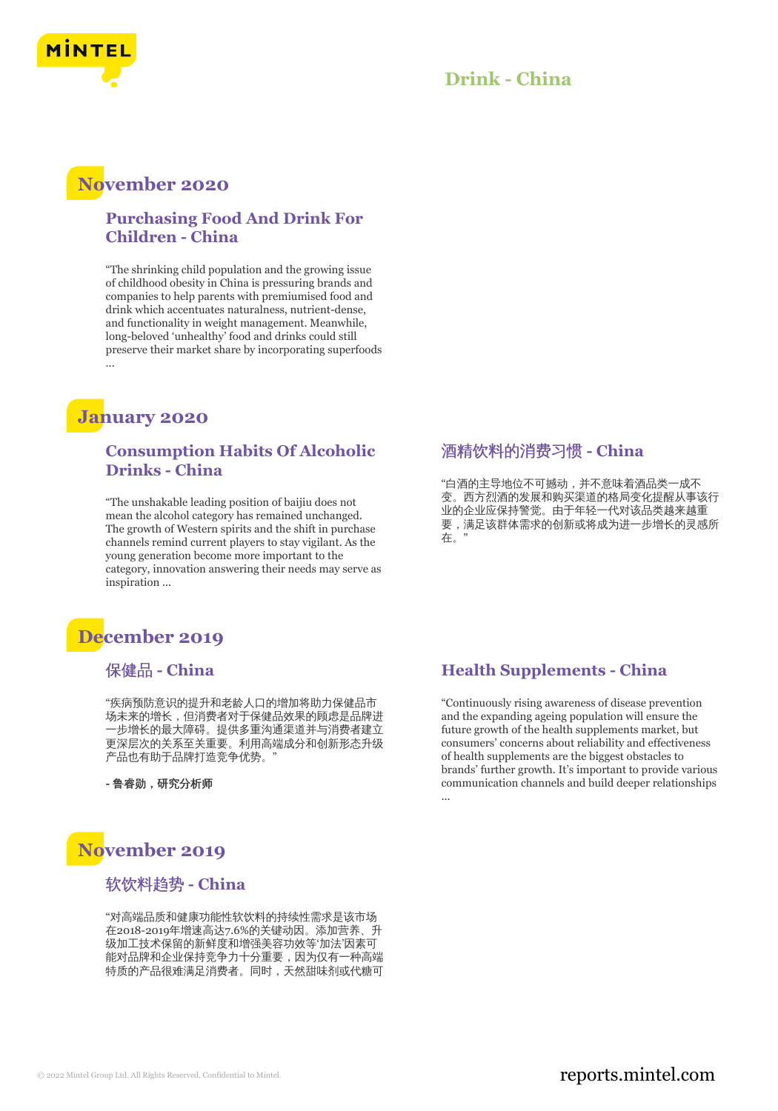

### **Drink - China**

## **November 2020**

### **Purchasing Food And Drink For Children - China**

"The shrinking child population and the growing issue of childhood obesity in China is pressuring brands and companies to help parents with premiumised food and drink which accentuates naturalness, nutrient-dense, and functionality in weight management. Meanwhile, long-beloved 'unhealthy' food and drinks could still preserve their market share by incorporating superfoods ...

## **January 2020**

### **Consumption Habits Of Alcoholic Drinks - China**

"The unshakable leading position of baijiu does not mean the alcohol category has remained unchanged. The growth of Western spirits and the shift in purchase channels remind current players to stay vigilant. As the young generation become more important to the category, innovation answering their needs may serve as inspiration ...

## **December 2019**

### 保健品 **- China**

"疾病预防意识的提升和老龄人口的增加将助力保健品市 场未来的增长,但消费者对于保健品效果的顾虑是品牌进 一步增长的最大障碍。提供多重沟通渠道并与消费者建立 更深层次的关系至关重要。利用高端成分和创新形态升级 产品也有助于品牌打造竞争优势。"

**-** 鲁睿勋,研究分析师

# **November 2019**

### 软饮料趋势 **- China**

"对高端品质和健康功能性软饮料的持续性需求是该市场 在2018-2019年增速高达7.6%的关键动因。添加营养、升 级加工技术保留的新鲜度和增强美容功效等'加法'因素可 能对品牌和企业保持竞争力十分重要,因为仅有一种高端 特质的产品很难满足消费者。同时,天然甜味剂或代糖可

#### 酒精饮料的消费习惯 **- China**

"白酒的主导地位不可撼动,并不意味着酒品类一成不 变。西方烈酒的发展和购买渠道的格局变化提醒从事该行 业的企业应保持警觉。由于年轻一代对该品类越来越重 要,满足该群体需求的创新或将成为进一步增长的灵感所 在。"

### **Health Supplements - China**

"Continuously rising awareness of disease prevention and the expanding ageing population will ensure the future growth of the health supplements market, but consumers' concerns about reliability and effectiveness of health supplements are the biggest obstacles to brands' further growth. It's important to provide various communication channels and build deeper relationships ...